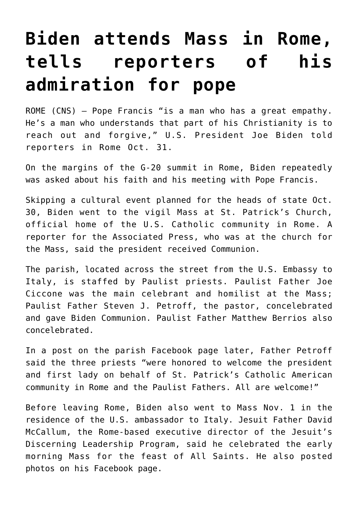## **[Biden attends Mass in Rome,](https://www.osvnews.com/2021/11/01/biden-attends-mass-in-rome-tells-reporters-of-his-admiration-for-pope/) [tells reporters of his](https://www.osvnews.com/2021/11/01/biden-attends-mass-in-rome-tells-reporters-of-his-admiration-for-pope/) [admiration for pope](https://www.osvnews.com/2021/11/01/biden-attends-mass-in-rome-tells-reporters-of-his-admiration-for-pope/)**

ROME (CNS) — Pope Francis "is a man who has a great empathy. He's a man who understands that part of his Christianity is to reach out and forgive," U.S. President Joe Biden told reporters in Rome Oct. 31.

On the margins of the G-20 summit in Rome, Biden repeatedly was asked about his faith and his meeting with Pope Francis.

Skipping a cultural event planned for the heads of state Oct. 30, Biden went to the vigil Mass at St. Patrick's Church, official home of the U.S. Catholic community in Rome. A reporter for the Associated Press, who was at the church for the Mass, said the president received Communion.

The parish, located across the street from the U.S. Embassy to Italy, is staffed by Paulist priests. Paulist Father Joe Ciccone was the main celebrant and homilist at the Mass; Paulist Father Steven J. Petroff, the pastor, concelebrated and gave Biden Communion. Paulist Father Matthew Berrios also concelebrated.

In a post on the parish Facebook page later, Father Petroff said the three priests "were honored to welcome the president and first lady on behalf of St. Patrick's Catholic American community in Rome and the Paulist Fathers. All are welcome!"

Before leaving Rome, Biden also went to Mass Nov. 1 in the residence of the U.S. ambassador to Italy. Jesuit Father David McCallum, the Rome-based executive director of the Jesuit's Discerning Leadership Program, said he celebrated the early morning Mass for the feast of All Saints. He also posted photos on his Facebook page.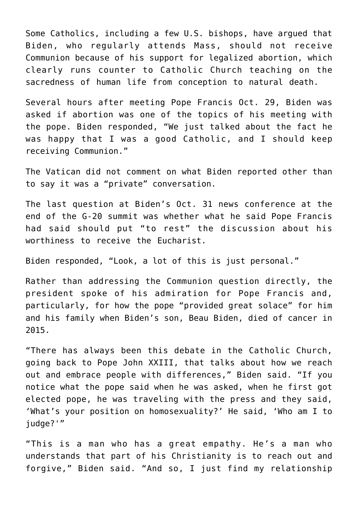Some Catholics, including a few U.S. bishops, have argued that Biden, who regularly attends Mass, should not receive Communion because of his support for legalized abortion, which clearly runs counter to Catholic Church teaching on the sacredness of human life from conception to natural death.

Several hours after meeting Pope Francis Oct. 29, Biden was asked if abortion was one of the topics of his meeting with the pope. Biden responded, "We just talked about the fact he was happy that I was a good Catholic, and I should keep receiving Communion."

The Vatican did not comment on what Biden reported other than to say it was a "private" conversation.

The last question at Biden's Oct. 31 news conference at the end of the G-20 summit was whether what he said Pope Francis had said should put "to rest" the discussion about his worthiness to receive the Eucharist.

Biden responded, "Look, a lot of this is just personal."

Rather than addressing the Communion question directly, the president spoke of his admiration for Pope Francis and, particularly, for how the pope "provided great solace" for him and his family when Biden's son, Beau Biden, died of cancer in 2015.

"There has always been this debate in the Catholic Church, going back to Pope John XXIII, that talks about how we reach out and embrace people with differences," Biden said. "If you notice what the pope said when he was asked, when he first got elected pope, he was traveling with the press and they said, 'What's your position on homosexuality?' He said, 'Who am I to judge?'"

"This is a man who has a great empathy. He's a man who understands that part of his Christianity is to reach out and forgive," Biden said. "And so, I just find my relationship